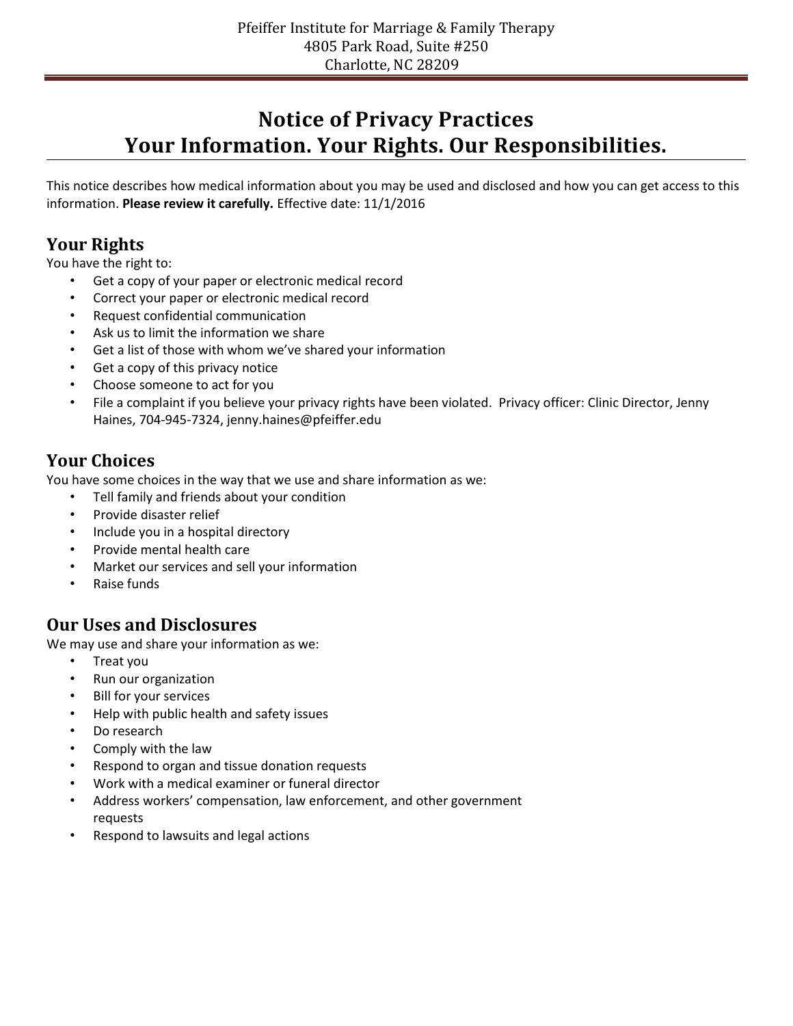# **Notice of Privacy Practices Your Information. Your Rights. Our Responsibilities.**

This notice describes how medical information about you may be used and disclosed and how you can get access to this information. **Please review it carefully.** Effective date: 11/1/2016

## **Your Rights**

You have the right to:

- Get a copy of your paper or electronic medical record
- Correct your paper or electronic medical record
- Request confidential communication
- Ask us to limit the information we share
- Get a list of those with whom we've shared your information
- Get a copy of this privacy notice
- Choose someone to act for you
- File a complaint if you believe your privacy rights have been violated. Privacy officer: Clinic Director, Jenny Haines, 704-945-7324, jenny.haines@pfeiffer.edu

## **Your Choices**

You have some choices in the way that we use and share information as we:

- Tell family and friends about your condition
- Provide disaster relief
- Include you in a hospital directory
- Provide mental health care
- Market our services and sell your information
- Raise funds

## **Our Uses and Disclosures**

We may use and share your information as we:

- Treat you
- Run our organization
- Bill for your services
- Help with public health and safety issues
- Do research
- Comply with the law
- Respond to organ and tissue donation requests
- Work with a medical examiner or funeral director
- Address workers' compensation, law enforcement, and other government requests
- Respond to lawsuits and legal actions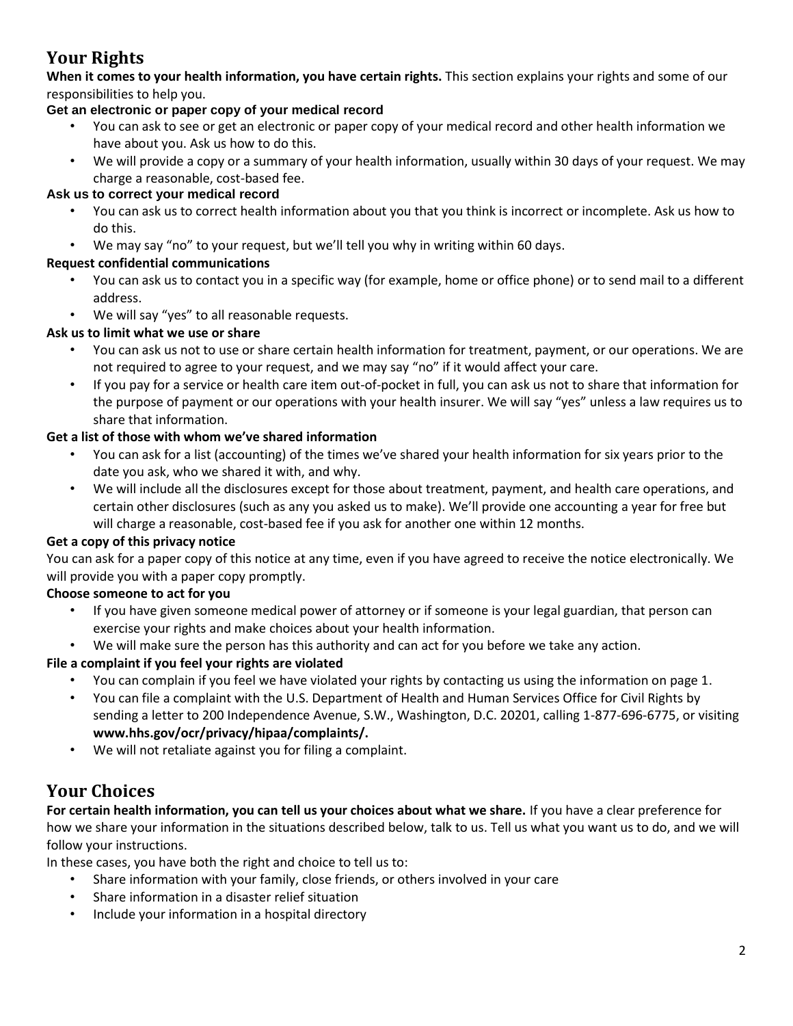# **Your Rights**

**When it comes to your health information, you have certain rights.** This section explains your rights and some of our responsibilities to help you.

## **Get an electronic or paper copy of your medical record**

- You can ask to see or get an electronic or paper copy of your medical record and other health information we have about you. Ask us how to do this.
- We will provide a copy or a summary of your health information, usually within 30 days of your request. We may charge a reasonable, cost-based fee.

## **Ask us to correct your medical record**

- You can ask us to correct health information about you that you think is incorrect or incomplete. Ask us how to do this.
- We may say "no" to your request, but we'll tell you why in writing within 60 days.

## **Request confidential communications**

- You can ask us to contact you in a specific way (for example, home or office phone) or to send mail to a different address.
- We will say "yes" to all reasonable requests.

### **Ask us to limit what we use or share**

- You can ask us not to use or share certain health information for treatment, payment, or our operations. We are not required to agree to your request, and we may say "no" if it would affect your care.
- If you pay for a service or health care item out-of-pocket in full, you can ask us not to share that information for the purpose of payment or our operations with your health insurer. We will say "yes" unless a law requires us to share that information.

### **Get a list of those with whom we've shared information**

- You can ask for a list (accounting) of the times we've shared your health information for six years prior to the date you ask, who we shared it with, and why.
- We will include all the disclosures except for those about treatment, payment, and health care operations, and certain other disclosures (such as any you asked us to make). We'll provide one accounting a year for free but will charge a reasonable, cost-based fee if you ask for another one within 12 months.

## **Get a copy of this privacy notice**

You can ask for a paper copy of this notice at any time, even if you have agreed to receive the notice electronically. We will provide you with a paper copy promptly.

### **Choose someone to act for you**

- If you have given someone medical power of attorney or if someone is your legal guardian, that person can exercise your rights and make choices about your health information.
- We will make sure the person has this authority and can act for you before we take any action.

## **File a complaint if you feel your rights are violated**

- You can complain if you feel we have violated your rights by contacting us using the information on page 1.
- You can file a complaint with the U.S. Department of Health and Human Services Office for Civil Rights by sending a letter to 200 Independence Avenue, S.W., Washington, D.C. 20201, calling 1-877-696-6775, or visiting **www.hhs.gov/ocr/privacy/hipaa/complaints/.**
- We will not retaliate against you for filing a complaint.

## **Your Choices**

**For certain health information, you can tell us your choices about what we share.** If you have a clear preference for how we share your information in the situations described below, talk to us. Tell us what you want us to do, and we will follow your instructions.

In these cases, you have both the right and choice to tell us to:

- Share information with your family, close friends, or others involved in your care
- Share information in a disaster relief situation
- Include your information in a hospital directory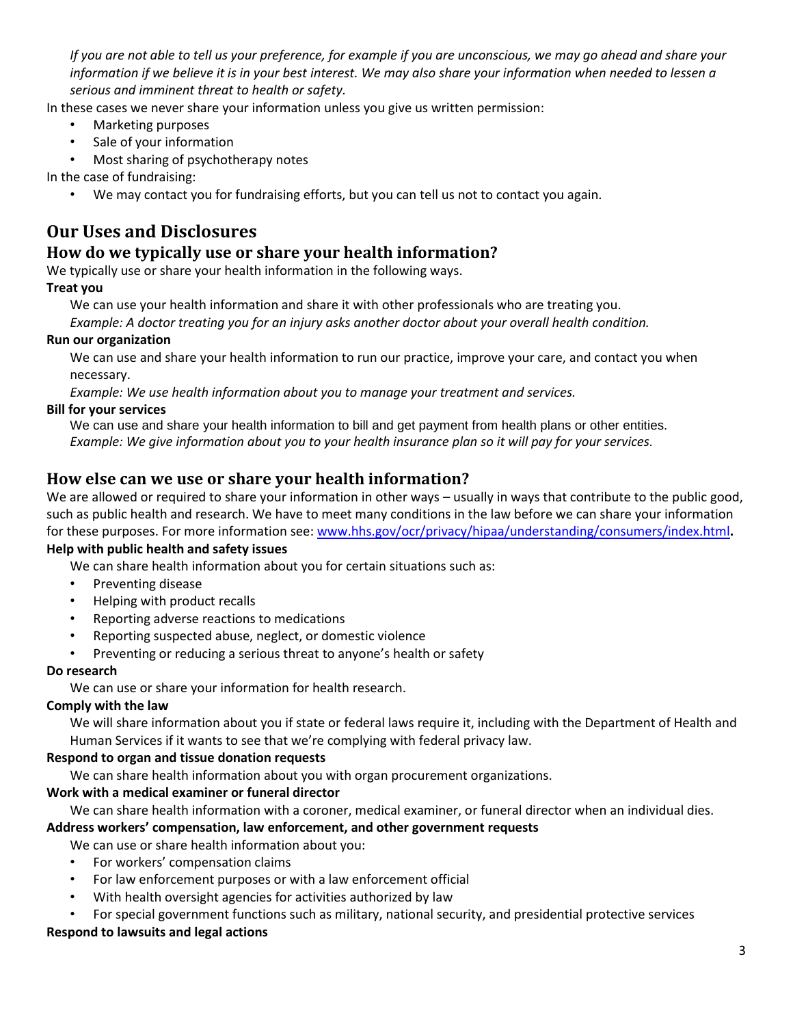*If you are not able to tell us your preference, for example if you are unconscious, we may go ahead and share your information if we believe it is in your best interest. We may also share your information when needed to lessen a serious and imminent threat to health or safety.*

In these cases we never share your information unless you give us written permission:

- Marketing purposes
- Sale of your information
- Most sharing of psychotherapy notes

In the case of fundraising:

• We may contact you for fundraising efforts, but you can tell us not to contact you again.

## **Our Uses and Disclosures**

## **How do we typically use or share your health information?**

We typically use or share your health information in the following ways.

#### **Treat you**

We can use your health information and share it with other professionals who are treating you.

*Example: A doctor treating you for an injury asks another doctor about your overall health condition.*

#### **Run our organization**

We can use and share your health information to run our practice, improve your care, and contact you when necessary.

*Example: We use health information about you to manage your treatment and services.* 

#### **Bill for your services**

We can use and share your health information to bill and get payment from health plans or other entities. *Example: We give information about you to your health insurance plan so it will pay for your services.* 

## **How else can we use or share your health information?**

We are allowed or required to share your information in other ways – usually in ways that contribute to the public good, such as public health and research. We have to meet many conditions in the law before we can share your information for these purposes. For more information see: [www.hhs.gov/ocr/privacy/hipaa/understanding/consumers/index.html](http://www.hhs.gov/ocr/privacy/hipaa/understanding/consumers/index.html)**.**

### **Help with public health and safety issues**

We can share health information about you for certain situations such as:

- Preventing disease
- Helping with product recalls
- Reporting adverse reactions to medications
- Reporting suspected abuse, neglect, or domestic violence
- Preventing or reducing a serious threat to anyone's health or safety

#### **Do research**

We can use or share your information for health research.

#### **Comply with the law**

We will share information about you if state or federal laws require it, including with the Department of Health and Human Services if it wants to see that we're complying with federal privacy law.

#### **Respond to organ and tissue donation requests**

We can share health information about you with organ procurement organizations.

#### **Work with a medical examiner or funeral director**

We can share health information with a coroner, medical examiner, or funeral director when an individual dies.

### **Address workers' compensation, law enforcement, and other government requests**

We can use or share health information about you:

- For workers' compensation claims
- For law enforcement purposes or with a law enforcement official
- With health oversight agencies for activities authorized by law
- For special government functions such as military, national security, and presidential protective services

#### **Respond to lawsuits and legal actions**